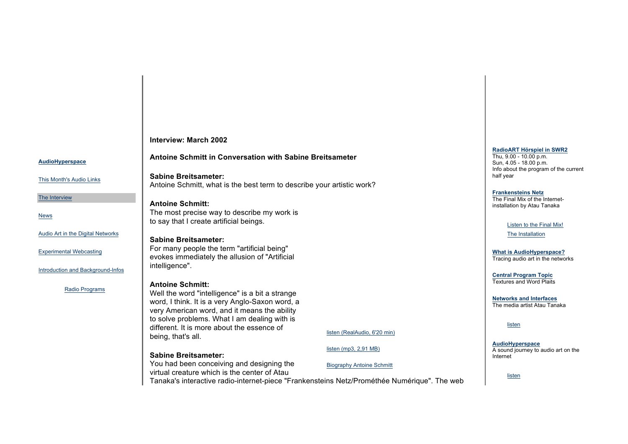**AudioHyperspace**

This Month's Audio Links

The Interview

News

Audio Art in the Digital Networks

Experimental Webcasting

Introduction and Background-Infos

Radio Programs

**Interview: March 2002**

### **Antoine Schmitt in Conversation with Sabine Breitsameter**

**Sabine Breitsameter:** Antoine Schmitt, what is the best term to describe your artistic work?

**Antoine Schmitt:** The most precise way to describe my work is to say that I create artificial beings.

## **Sabine Breitsameter:**

For many people the term "artificial being" evokes immediately the allusion of "Artificial intelligence".

### **Antoine Schmitt:**

Well the word "intelligence" is a bit a strange word, I think. It is a very Anglo-Saxon word, a very American word, and it means the ability to solve problems. What I am dealing with is different. It is more about the essence of being, that's all.

## **Sabine Breitsameter:**

You had been conceiving and designing the virtual creature which is the center of Atau

Tanaka's interactive radio-internet-piece "Frankensteins Netz/Prométhée Numérique". The web

listen (RealAudio, 6'20 min)

Biography Antoine Schmitt

listen (mp3, 2,91 MB)

#### **RadioART Hörspiel in SWR2**

Thu, 9.00 - 10.00 p.m. Sun, 4.05 - 18.00 p.m. Info about the program of the current half year

#### **Frankensteins Netz**

The Final Mix of the Internetinstallation by Atau Tanaka

#### Listen to the Final Mix!

The Installation

**What is AudioHyperspace?** Tracing audio art in the networks

**Central Program Topic** Textures and Word Plaits

**Networks and Interfaces** The media artist Atau Tanaka

listen

**AudioHyperspace** A sound journey to audio art on the Internet

listen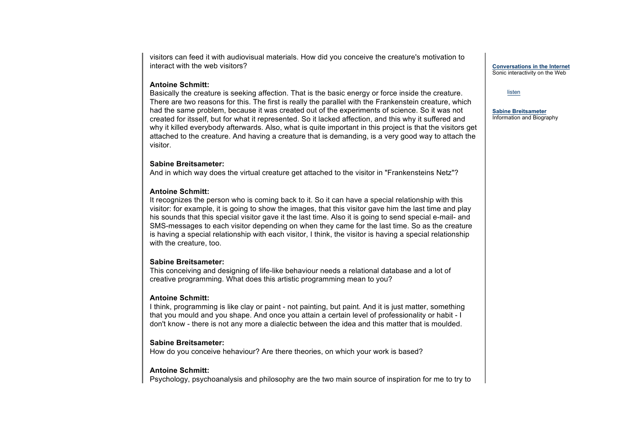visitors can feed it with audiovisual materials. How did you conceive the creature's motivation to interact with the web visitors?

#### **Antoine Schmitt:**

Basically the creature is seeking affection. That is the basic energy or force inside the creature. There are two reasons for this. The first is really the parallel with the Frankenstein creature, which had the same problem, because it was created out of the experiments of science. So it was not created for itsself, but for what it represented. So it lacked affection, and this why it suffered and why it killed everybody afterwards. Also, what is quite important in this project is that the visitors get attached to the creature. And having a creature that is demanding, is a very good way to attach the visitor.

### **Sabine Breitsameter:**

And in which way does the virtual creature get attached to the visitor in "Frankensteins Netz"?

# **Antoine Schmitt:**

It recognizes the person who is coming back to it. So it can have a special relationship with this visitor: for example, it is going to show the images, that this visitor gave him the last time and play his sounds that this special visitor gave it the last time. Also it is going to send special e-mail- and SMS-messages to each visitor depending on when they came for the last time. So as the creature is having a special relationship with each visitor, I think, the visitor is having a special relationship with the creature, too.

# **Sabine Breitsameter:**

This conceiving and designing of life-like behaviour needs a relational database and a lot of creative programming. What does this artistic programming mean to you?

# **Antoine Schmitt:**

I think, programming is like clay or paint - not painting, but paint. And it is just matter, something that you mould and you shape. And once you attain a certain level of professionality or habit - I don't know - there is not any more a dialectic between the idea and this matter that is moulded.

# **Sabine Breitsameter:**

How do you conceive hehaviour? Are there theories, on which your work is based?

# **Antoine Schmitt:**

Psychology, psychoanalysis and philosophy are the two main source of inspiration for me to try to

**Conversations in the Internet** Sonic interactivity on the Web

#### listen

**Sabine Breitsameter** Information and Biography